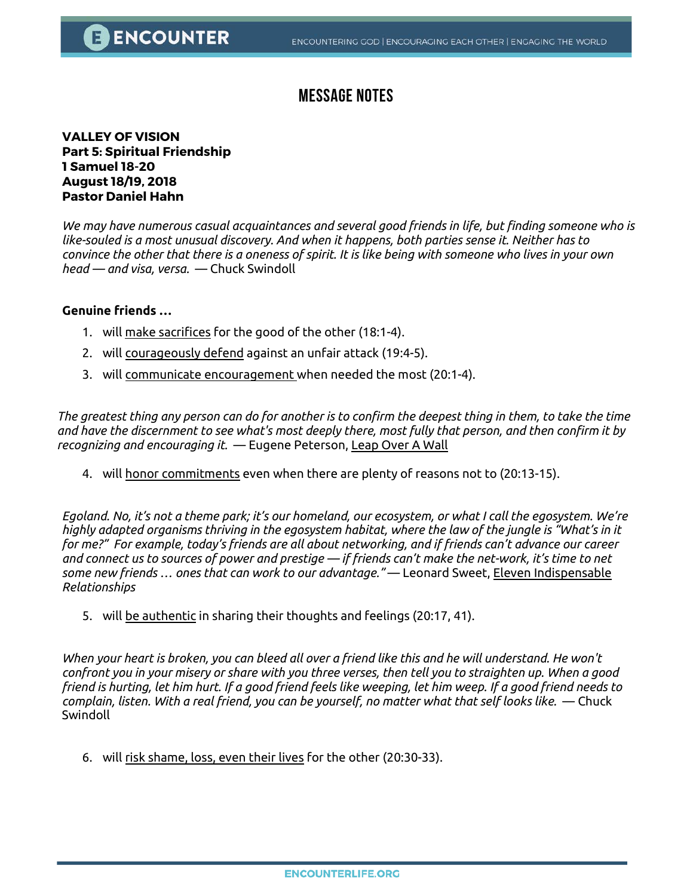## **Message Notes**

**VALLEY OF VISION Part 5: Spiritual Friendship 1 Samuel 18-20 August 18/19, 2018 Pastor Daniel Hahn**

*We may have numerous casual acquaintances and several good friends in life, but finding someone who is like-souled is a most unusual discovery. And when it happens, both parties sense it. Neither has to convince the other that there is a oneness of spirit. It is like being with someone who lives in your own head — and visa, versa.* — Chuck Swindoll

## **Genuine friends …**

- 1. will make sacrifices for the good of the other (18:1-4).
- 2. will courageously defend against an unfair attack (19:4-5).
- 3. will communicate encouragement when needed the most (20:1-4).

*The greatest thing any person can do for another is to confirm the deepest thing in them, to take the time and have the discernment to see what's most deeply there, most fully that person, and then confirm it by recognizing and encouraging it.* — Eugene Peterson, Leap Over A Wall

4. will honor commitments even when there are plenty of reasons not to (20:13-15).

*Egoland. No, it's not a theme park; it's our homeland, our ecosystem, or what I call the egosystem. We're highly adapted organisms thriving in the egosystem habitat, where the law of the jungle is "What's in it for me?" For example, today's friends are all about networking, and if friends can't advance our career and connect us to sources of power and prestige — if friends can't make the net-work, it's time to net some new friends … ones that can work to our advantage."* — Leonard Sweet, Eleven Indispensable *Relationships*

5. will be authentic in sharing their thoughts and feelings (20:17, 41).

*When your heart is broken, you can bleed all over a friend like this and he will understand. He won't confront you in your misery or share with you three verses, then tell you to straighten up. When a good friend is hurting, let him hurt. If a good friend feels like weeping, let him weep. If a good friend needs to complain, listen. With a real friend, you can be yourself, no matter what that self looks like.* — Chuck Swindoll

6. will risk shame, loss, even their lives for the other (20:30-33).